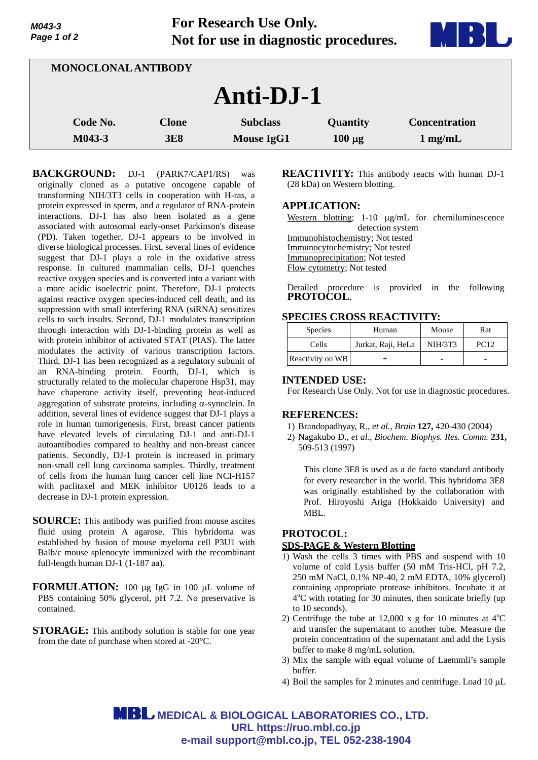**For Research Use Only. Not for use in diagnostic procedures.**



| MONOCLONAL ANTIBODY |                            |                                      |                         |                                           |  |
|---------------------|----------------------------|--------------------------------------|-------------------------|-------------------------------------------|--|
| Anti-DJ-1           |                            |                                      |                         |                                           |  |
| Code No.<br>M043-3  | <b>Clone</b><br><b>3E8</b> | <b>Subclass</b><br><b>Mouse IgG1</b> | Quantity<br>$100 \mu g$ | <b>Concentration</b><br>$1 \text{ mg/mL}$ |  |

**BACKGROUND:** DJ-1 (PARK7/CAP1/RS) was originally cloned as a putative oncogene capable of transforming NIH/3T3 cells in cooperation with H-ras, a protein expressed in sperm, and a regulator of RNA-protein interactions. DJ-1 has also been isolated as a gene associated with autosomal early-onset Parkinson's disease (PD). Taken together, DJ-1 appears to be involved in diverse biological processes. First, several lines of evidence suggest that DJ-1 plays a role in the oxidative stress response. In cultured mammalian cells, DJ-1 quenches reactive oxygen species and is converted into a variant with a more acidic isoelectric point. Therefore, DJ-1 protects against reactive oxygen species-induced cell death, and its suppression with small interfering RNA (siRNA) sensitizes cells to such insults. Second, DJ-1 modulates transcription through interaction with DJ-1-binding protein as well as with protein inhibitor of activated STAT (PIAS). The latter modulates the activity of various transcription factors. Third, DJ-1 has been recognized as a regulatory subunit of an RNA-binding protein. Fourth, DJ-1, which is structurally related to the molecular chaperone Hsp31, may have chaperone activity itself, preventing heat-induced aggregation of substrate proteins, including  $\alpha$ -synuclein. In addition, several lines of evidence suggest that DJ-1 plays a role in human tumorigenesis. First, breast cancer patients have elevated levels of circulating DJ-1 and anti-DJ-1 autoantibodies compared to healthy and non-breast cancer patients. Secondly, DJ-1 protein is increased in primary non-small cell lung carcinoma samples. Thirdly, treatment of cells from the human lung cancer cell line NCI-H157 with paclitaxel and MEK inhibitor U0126 leads to a decrease in DJ-1 protein expression.

- **SOURCE:** This antibody was purified from mouse ascites fluid using protein A agarose. This hybridoma was established by fusion of mouse myeloma cell P3U1 with Balb/c mouse splenocyte immunized with the recombinant full-length human DJ-1 (1-187 aa).
- **FORMULATION:** 100 µg IgG in 100 µL volume of PBS containing 50% glycerol, pH 7.2. No preservative is contained.
- **STORAGE:** This antibody solution is stable for one year from the date of purchase when stored at -20°C.

**REACTIVITY:** This antibody reacts with human DJ-1 (28 kDa) on Western blotting.

#### **APPLICATION:**

Western blotting;  $1-10 \mu g/mL$  for chemiluminescence detection system

Immunohistochemistry; Not tested Immunocytochemistry; Not tested

Immunoprecipitation; Not tested

Flow cytometry; Not tested

Detailed procedure is provided in the following **PROTOCOL**.

# **SPECIES CROSS REACTIVITY:**

| <b>Species</b>   | Human              | Mouse          | Rat         |
|------------------|--------------------|----------------|-------------|
| Cells            | Jurkat, Raji, HeLa | <b>NIH/3T3</b> | <b>PC12</b> |
| Reactivity on WB |                    |                |             |

#### **INTENDED USE:**

For Research Use Only. Not for use in diagnostic procedures.

# **REFERENCES:**

- 1) Brandopadhyay, R., *et al., Brain* **127,** 420-430 (2004)
- 2) Nagakubo D., *et al., Biochem. Biophys. Res. Comm.* **231,**  509-513 (1997)

This clone 3E8 is used as a de facto standard antibody for every researcher in the world. This hybridoma 3E8 was originally established by the collaboration with Prof. Hiroyoshi Ariga (Hokkaido University) and MBL.

# **PROTOCOL:**

# **SDS-PAGE & Western Blotting**

- 1) Wash the cells 3 times with PBS and suspend with 10 volume of cold Lysis buffer (50 mM Tris-HCl, pH 7.2, 250 mM NaCl, 0.1% NP-40, 2 mM EDTA, 10% glycerol) containing appropriate protease inhibitors. Incubate it at 4<sup>o</sup>C with rotating for 30 minutes, then sonicate briefly (up to 10 seconds).
- 2) Centrifuge the tube at 12,000 x g for 10 minutes at  $4^{\circ}$ C and transfer the supernatant to another tube. Measure the protein concentration of the supernatant and add the Lysis buffer to make 8 mg/mL solution.
- 3) Mix the sample with equal volume of Laemmli's sample buffer.
- 4) Boil the samples for 2 minutes and centrifuge. Load  $10 \mu L$

**MBL** MEDICAL & BIOLOGICAL LABORATORIES CO., LTD. **URL https://ruo.mbl.co.jp e-mail support@mbl.co.jp, TEL 052-238-1904**